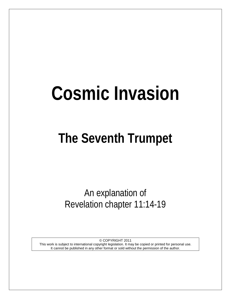# **Cosmic Invasion**

# **The Seventh Trumpet**

An explanation of Revelation chapter 11:14-19

© COPYRIGHT 2011 This work is subject to international copyright legislation. It may be copied or printed for personal use. It cannot be published in any other format or sold without the permission of the author.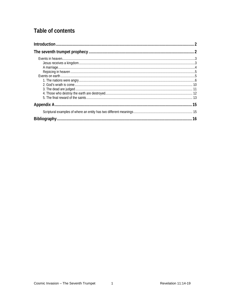# Table of contents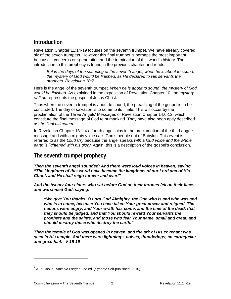## <span id="page-2-0"></span>**Introduction**

Revelation Chapter 11:14-19 focuses on the seventh trumpet. We have already covered six of the seven trumpets. However this final trumpet is perhaps the most important because it concerns our generation and the termination of this world's history. The introduction to this prophecy is found in the previous chapter and reads:

But in the days of the sounding of the seventh angel, when he is about to sound, *the mystery of God would be finished, as He declared to His servants the prophets. Revelation 10:7*

Here is the angel of the seventh trumpet. *When he is about to sound*, *the mystery of God would be finished*. As explained in the exposition of Revelation Chapter 10, the *mystery*  of God represents the gospel of Jesus Christ.<sup>[1](#page-2-2)</sup>

Thus when the seventh trumpet is about to sound, the preaching of the gospel is to be concluded. The day of salvation is to come to its finale. This will occur by the proclamation of the Three Angels' Messages of Revelation Chapter 14:6-12, which constitute the final message of God to humankind. They have also been aptly described as *the final ultimatum*.

In Revelation Chapter 18:1-4 a fourth angel joins in the proclamation of the third angel's message and with a mighty voice calls God's people out of Babylon. This event is referred to as the *Loud Cry* because the angel speaks *with a loud voice and the whole earth is lightened with his glory*. Again, this is a description of the gospel's conclusion.

### <span id="page-2-1"></span>**The seventh trumpet prophecy**

*Then the seventh angel sounded: And there were loud voices in heaven, saying, "The kingdoms of this world have become the kingdoms of our Lord and of His Christ, and He shall reign forever and ever!"* 

*And the twenty-four elders who sat before God on their thrones fell on their faces and worshiped God, saying:* 

*"We give You thanks, O Lord God Almighty, the One who is and who was and who is to come, because You have taken Your great power and reigned. The nations were angry, and Your wrath has come, and the time of the dead, that they should be judged, and that You should reward Your servants the prophets and the saints, and those who fear Your name, small and great, and should destroy those who destroy the earth."* 

*Then the temple of God was opened in heaven, and the ark of His covenant was seen in His temple. And there were lightnings, noises, thunderings, an earthquake, and great hail. V 15-19*

<span id="page-2-2"></span><sup>1</sup> A.P. Cooke, *Time No Longer*, 2nd ed. (Sydney: Self-published, 2010),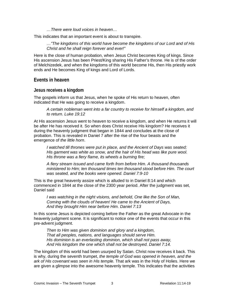*…There were loud voices in heaven…*

This indicates that an important event is about to transpire.

*…"The kingdoms of this world have become the kingdoms of our Lord and of His Christ and he shall reign forever and ever!"*

Here is the close of human probation, when Jesus Christ becomes King of kings. Since His ascension Jesus has been Priest/King sharing His Father's throne. He is of the order of Melchizedek, and when the kingdoms of this world become His, then His priestly work ends and He becomes King of kings and Lord of Lords.

#### <span id="page-3-0"></span>**Events in heaven**

#### <span id="page-3-1"></span>**Jesus receives a kingdom**

The gospels inform us that Jesus, when he spoke of His return to heaven, often indicated that He was going to receive a kingdom.

*A certain nobleman went into a far country to receive for himself a kingdom, and to return. Luke 19:12*

At His ascension Jesus went to heaven to receive a kingdom, and when He returns it will be after He has received it. So when does Christ receive His kingdom? He receives it during the heavenly judgment that began in 1844 and concludes at the close of probation. This is revealed in Daniel 7 after the rise of the four beasts and the emergence of *the little horn*.

*I watched till thrones were put in place, and the Ancient of Days was seated; His garment was white as snow, and the hair of His head was like pure wool. His throne was a fiery flame, its wheels a burning fire;*

*A fiery stream issued and came forth from before Him. A thousand thousands ministered to Him; ten thousand times ten thousand stood before Him. The court was seated, and the books were opened. Daniel 7:9-10*

This is the great heavenly assize which is alluded to in Daniel 8:14 and which commenced in 1844 at the close of the 2300 year period. After the judgment was set, Daniel said

*I was watching in the night visions, and behold, One like the Son of Man, Coming with the clouds of heaven! He came to the Ancient of Days, And they brought Him near before Him. Daniel 7:13*

In this scene Jesus is depicted coming before the Father as the great Advocate in the heavenly judgment scene. It is significant to notice one of the events that occur in this pre-advent judgment.

*Then to Him was given dominion and glory and a kingdom, That all peoples, nations, and languages should serve Him. His dominion is an everlasting dominion, which shall not pass away, And His kingdom the one which shall not be destroyed. Daniel 7:14.*

The kingdom of this world had been usurped by Satan. Christ now receives it back. This is why, during the seventh trumpet, *the temple of God was opened in heaven, and the ark of His covenant was seen in His temple.* That ark was in the Holy of Holies. Here we are given a glimpse into the awesome heavenly temple. This indicates that the activities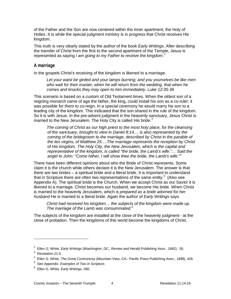of the Father and the Son are now centered within the inner apartment, the Holy of Holies. It is while the special judgment ministry is in progress that Christ receives His kingdom.

This truth is very clearly stated by the author of the book *Early Writings*. After describing the transfer of Christ from the first to the second apartment of the Temple, Jesus is represented as saying *I am going to my Father to receive the kingdom*. [2](#page-4-1)

#### <span id="page-4-0"></span>**A marriage**

In the gospels Christ's receiving of the kingdom is likened to a marriage.

*Let your waist be girded and your lamps burning; and you yourselves be like men who wait for their master, when he will return from the wedding, that when he comes and knocks they may open to him immediately. Luke 12:35-36*

This scenario is based on a custom of Old Testament times. When the oldest son of a reigning monarch came of age the father, the king, could install his son as a co-ruler: it was possible for them to co-reign. In a special ceremony he would marry his son to a leading city of the kingdom. This indicated that the son shared in the rule of the kingdom. So it is with Jesus. In the pre-advent judgment in the heavenly sanctuary, Jesus Christ is married to the New Jerusalem. The Holy City is called His bride. $3$ 

*The coming of Christ as our high priest to the most holy place, for the cleansing of the sanctuary, brought to view in Daniel 8:14.... is also represented by the coming of the bridegroom to the marriage, described by Christ in the parable of the ten virgins, of Matthew 25….The marriage represents the reception by Christ of His kingdom. The Holy City, the New Jerusalem, which is the capital and representative of the kingdom, is called "the bride, the Lamb's wife."… Said the angel to John: "Come hither, I will show thee the bride, the Lamb's wife."* [4](#page-4-3)

There have been different opinions about who the Bride of Christ represents. Some claim it is the church while others declare it is the New Jerusalem. The answer is that there are two brides – a spiritual bride and a literal bride. It is important to understand that in Scripture there are often two representations of the same entity. [5](#page-4-4) (Also see Appendix A). The spiritual bride is the Church. When we accept Christ as our Savior it is likened to a marriage. Christ becomes our husband, we become His bride. When Christ is married to the heavenly Jerusalem, which *is prepared as a bride adorned for her husband* He is married to a literal bride. Again the author of *Early Writings* says

*Christ had received his kingdom… the subjects of the kingdom were made up. The marriage of the Lamb was consummated.*[6](#page-4-5)

The subjects of the kingdom are installed at the close of the heavenly judgment - at the close of probation. Then the kingdoms of this world become the kingdoms of Christ.

<span id="page-4-1"></span><sup>&</sup>lt;sup>2</sup> Ellen G. White, *Early Writings* (Washington, DC.: Review and Herald Publishing Assn., 1882), 55.

<span id="page-4-2"></span> $3$  Revelation 21:5.

<span id="page-4-3"></span><sup>4</sup> Ellen G. White, *The Great Controversy* (Mountain View, CA.: Pacific Press Publishing Assn., 1898), 426.

<sup>5</sup> See Appendix *Examples of Two in Scripture*.

<span id="page-4-5"></span><span id="page-4-4"></span><sup>6</sup> Ellen G. White, *Early Writings*, 280.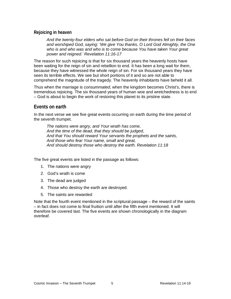#### <span id="page-5-0"></span>**Rejoicing in heaven**

*And the twenty-four elders who sat before God on their thrones fell on their faces and worshiped God, saying: 'We give You thanks, O Lord God Almighty, the One who is and who was and who is to come because You have taken Your great power and reigned.' Revelation 11:16-17*

The reason for such rejoicing is that for six thousand years the heavenly hosts have been waiting for the reign of sin and rebellion to end. It has been a long wait for them, because they have witnessed the whole reign of sin. For six thousand years they have seen its terrible effects. We see but short portions of it and so are not able to comprehend the magnitude of the tragedy. The heavenly inhabitants have beheld it all.

Thus when the marriage is *consummated*, when the kingdom becomes Christ's, there is tremendous rejoicing. The six thousand years of human woe and wretchedness is to end – God is about to begin the work of restoring this planet to its pristine state.

#### <span id="page-5-1"></span>**Events on earth**

In the next verse we see five great events occurring on earth during the time period of the seventh trumpet.

*The nations were angry, and Your wrath has come, And the time of the dead, that they should be judged, And that You should reward Your servants the prophets and the saints, And those who fear Your name, small and great, And should destroy those who destroy the earth. Revelation 11:18*

The five great events are listed in the passage as follows:

- 1. The nations were angry
- 2. God's wrath is come
- 3. The dead are judged
- 4. Those who destroy the earth are destroyed.
- 5. The saints are rewarded

Note that the fourth event mentioned in the scriptural passage – the reward of the saints – in fact does not come to final fruition until after the fifth event mentioned. It will therefore be covered last. The five events are shown chronologically in the diagram overleaf.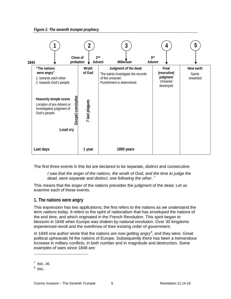*Figure 1: The seventh trumpet prophecy*



The first three events in this list are declared to be separate, distinct and consecutive.

*I* saw that the anger of the nations, the wrath of God, and the time to judge the *dead, were separate and distinct, one following the other.* [7](#page-6-1)

This means that the anger of the nations precedes the judgment of the dead. Let us examine each of these events.

#### <span id="page-6-0"></span>**1. The nations were angry**

This expression has two applications; the first refers to the nations as we understand the term *nations* today. It refers to the spirit of nationalism that has enveloped the nations of the end time, and which originated in the French Revolution. This spirit began to blossom in 1848 when Europe was shaken by national revolution. Over 30 kingdoms experienced revolt and the overthrow of their existing order of government.

In 1849 one author wrote that the nations *are now getting angry[8](#page-6-2)* , and they were. Great political upheavals hit the nations of Europe. Subsequently there has been a tremendous increase in military conflicts, in both number and in magnitude and destruction. Some examples of wars since 1848 are:

 $<sup>7</sup>$  Ibid., 36.</sup>

<span id="page-6-2"></span><span id="page-6-1"></span> $8$  Ibid.,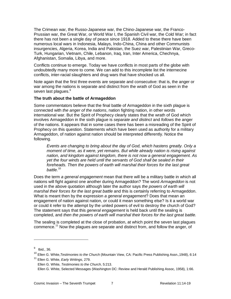The Crimean war, the Russo-Japanese war, the Chino-Japanese war, the Franco-Prussian war, the Great War, or World War I, the Spanish Civil war, the Cold War; in fact there has not been a single day of peace since 1918. Added to these there have been numerous local wars in Indonesia, Malays, Indo-China, China and other Communists insurgencies, Algeria, Korea, India and Pakistan, the Suez war, Palestinian War, Greco-Turk, Hungarian, Vietnam, Chile, Lebanon, Iraq, Iran, Inter America, Chechnya, Afghanistan, Somalia, Libya, and more.

Conflicts continue to emerge. Today we have conflicts in most parts of the globe with undoubtedly many more to come. We can add to this incomplete list the internecine conflicts, inter-racial slaughters and drug wars that have shocked us all.

Note again that the first three events are separate and consecutive: that is, the anger or war among the nations is separate and distinct from the wrath of God as seen in the seven last plagues.<sup>[9](#page-7-0)</sup>

#### **The truth about the battle of Armageddon**

Some commentators believe that the final battle of Armageddon in the sixth plague is connected with *the anger of the nations*, nation fighting nation, in other words international war. But the Spirit of Prophecy clearly states that the wrath of God which involves Armageddon in the sixth plague is *separate and distinct* and *follows* the anger of the nations. It appears that in some cases there has been a misreading of the Spirit of Prophecy on this question. Statements which have been used as authority for a military Armageddon, of nation against nation should be interpreted differently. Notice the following.

*Events are changing to bring about the day of God, which hastens greatly. Only a moment of time, as it were, yet remains. But while already nation is rising against nation, and kingdom against kingdom, there is not now a general engagement. As yet the four winds are held until the servants of God shall be sealed in their foreheads. Then the powers of earth will marshal their forces for the last great battle.*[10](#page-7-1)

Does the term *a general engagement* mean that there will be a military battle in which all nations will fight against one another during Armageddon? The word *Armageddon* is not used in the above quotation although later the author says *the powers of earth will marshal their forces for the last great battle* and this is certainly referring to Armageddon. What is meant then by the expression *a general engagement*? Does that mean an engagement of nation against nation, or could it mean something else? Is it a world war or could it refer to the attempt by the united powers of evil to destroy the church of God? The statement says that this *general engagement* is held back until the sealing is completed, and *then the powers of earth will marshal their forces for the last great battle.*

The sealing is completed at the close of probation, at which point the seven last plagues commence.[11](#page-7-2) Now the plagues are separate and distinct from, and follow the anger, of

<span id="page-7-0"></span> $9$  Ibid., 36.

<span id="page-7-1"></span><sup>10</sup> Ellen G. White,*Testimonies to the Church* (Mountain View, CA: Pacific Press Publishing Assn.,1948), 6:14

<span id="page-7-2"></span><sup>11</sup> Ellen G. White, *Early Writings*, 279.

Ellen G. White, *Testimonies to the Church*, 5:213.

Ellen G. White, Selected Messages (Washington DC: Review and Herald Publishing Assoc, 1958), 1:66.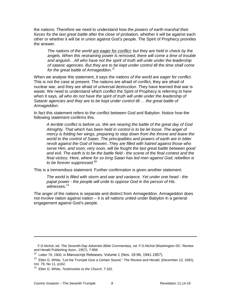the nations*.* Therefore we need to understand how *the powers of earth marshal their forces for the last great battle* after the close of probation, whether it will be against each other or whether it will be in union against God's people. The Spirit of Prophecy provides the answer.

*The nations of the world are eager for conflict; but they are held in check by the angels. When this restraining power is removed, there will come a time of trouble and anguish…All who have not the spirit of truth will unite under the leadership of satanic agencies. But they are to be kept under control till the time shall come for the great battle of Armageddon.*[12](#page-8-0)

When we analyse this statement, it says *the nations of the world are eager for conflict*. This is not the case at present. The nations are afraid of conflict, they are afraid of nuclear war, and they are afraid of universal destruction. They have learned that war is waste. We need to understand which conflict the Spirit of Prophecy is referring to here when it says*, all who do not have the spirit of truth will unite under the leadership of Satanic agencies and they are to be kept under control till…. the great battle of Armageddon.*

In fact this statement refers to the conflict between God and Babylon. Notice how the following statement confirms this.

*A terrible conflict is before us. We are nearing the battle of the great day of God Almighty. That which has been held in control is to be let loose. The angel of mercy is folding her wings, preparing to step down from the throne and leave the world to the control of Satan. The principalities and powers of earth are in bitter revolt against the God of heaven. They are filled with hatred against those who serve Him, and soon, very soon, will be fought the last great battle between good and evil. The earth is to be the battle field - the scene of the final contest and the final victory. Here, where for so long Satan has led men against God, rebellion is to be forever suppressed.***[13](#page-8-1)**

This is a tremendous statement. Further confirmation is given another statement:

*The world is filled with storm and war and variance. Yet under one head - the papal power - the people will unite to oppose God in the person of His witnesses.*[14](#page-8-2)

The anger of the nations is separate and distinct from Armageddon. Armageddon does not involve nation against nation – it is all nations united under Babylon in a general engagement against God's people.

F.D.Nichol, ed. *The Seventh-Day Adventist Bible Commentary*, ed. F.D.Nichol (Washington DC: Review and Herald Publishing Assn., 1957), 7:968.

 $12$  Letter 79, 1900, in Manuscript Releases, Volume 1 (Nos. 19-96, 1941-1957).

<span id="page-8-1"></span><span id="page-8-0"></span><sup>13</sup> Ellen G. White, "Let the Trumpet Give a Certain Sound," *The Review and Herald,* (December 13, 1892), Vol. 79, No 11, p162.

<span id="page-8-2"></span><sup>14</sup> Ellen G. White, *Testimonies to the Church*, 7:182.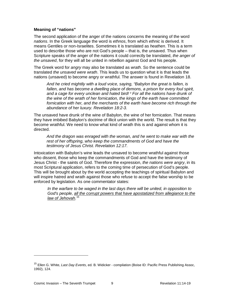#### **Meaning of "nations"**

The second application of the anger of the nations concerns the meaning of the word *nations*. In the Greek language the word is *ethnos*, from which *ethnic* is derived. It means Gentiles or non-Israelites. Sometimes it is translated as *heathen*. This is a term used to describe those who are not God's people – that is, the unsaved. Thus when Scripture speaks of the anger of the nations it could correctly be translated, *the anger of the unsaved*, for they will all be united in rebellion against God and his people.

The Greek word for *angry* may also be translated as *wrath*. So the sentence could be translated *the unsaved were wrath*. This leads us to question what it is that leads the nations (unsaved) to become angry or wrathful. The answer is found in Revelation 18.

*And he cried mightily with a loud voice, saying, "Babylon the great is fallen, is*  fallen, and has become a dwelling place of demons, a prison for every foul spirit, *and a cage for every unclean and hated bird! <sup>3</sup> For all the nations have drunk of the wine of the wrath of her fornication, the kings of the earth have committed fornication with her, and the merchants of the earth have become rich through the abundance of her luxury. Revelation 18:2-3.*

The unsaved have drunk of the wine of Babylon, the wine of her fornication. That means they have imbibed Babylon's doctrine of illicit union with the world. The result is that they become wrathful. We need to know what kind of wrath this is and against whom it is directed.

*And the dragon was enraged with the woman, and he went to make war with the rest of her offspring, who keep the commandments of God and have the testimony of Jesus Christ. Revelation 12:17.*

Intoxication with Babylon's wine leads the unsaved to become wrathful against those who dissent, those who keep the commandments of God and have the testimony of Jesus Christ - the saints of God. Therefore the expression, *the nations were angry*, in its most Scriptural application, refers to the coming time of persecution of God's people. This will be brought about by the world accepting the teachings of spiritual Babylon and will inspire hatred and wrath against those who refuse to accept the false worship to be enforced by legislation. As one commentator states:

*In the warfare to be waged in the last days there will be united, in opposition to God's people, all the corrupt powers that have apostatized from allegiance to the law of Jehovah.* [15](#page-9-0)

<span id="page-9-0"></span><sup>15</sup> Ellen G. White, *Last Day Events*, ed. B. Widicker - compilation (Boise ID: Pacific Press Publishing Assoc, 1992), 124.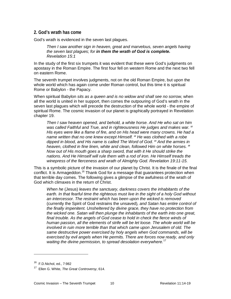#### <span id="page-10-0"></span>**2. God's wrath has come**

God's wrath is evidenced in the seven last plagues.

*Then I saw another sign in heaven, great and marvelous, seven angels having the seven last plagues; for in them the wrath of God is complete. Revelation 15:1*

In the study of the first six trumpets it was evident that these were God's judgments on apostasy in the Roman Empire. The first four fell on western Rome and the next two fell on eastern Rome.

The seventh trumpet involves judgments, not on the old Roman Empire, but upon the whole world which has again come under Roman control, but this time it is spiritual Rome or Babylon - the Papacy.

When spiritual Babylon *sits as a queen and is no widow and shall see no sorrow*, when all the world is united in her support, then comes the outpouring of God's wrath in the seven last plagues which will precede the destruction of the whole world - the empire of spiritual Rome. The cosmic invasion of our planet is graphically portrayed in Revelation chapter 19.

*Then I saw heaven opened, and behold, a white horse. And He who sat on him was called Faithful and True, and in righteousness He judges and makes war. <sup>12</sup> His eyes were like a flame of fire, and on His head were many crowns. He had a name written that no one knew except Himself. <sup>13</sup> He was clothed with a robe dipped in blood, and His name is called The Word of God. <sup>14</sup> And the armies in heaven, clothed in fine linen, white and clean, followed Him on white horses. <sup>15</sup> Now out of His mouth goes a sharp sword, that with it He should strike the nations. And He Himself will rule them with a rod of iron. He Himself treads the winepress of the fierceness and wrath of Almighty God. Revelation 19:11-15.*

This is a symbolic picture of the invasion of our planet by Christ. It is the finale of the final conflict. It is Armageddon.<sup>[16](#page-10-1)</sup> Thank God for a message that guarantees protection when that terrible day comes. The following gives a glimpse of the awfulness of the wrath of God which climaxes in the return of Christ.

*When he* (Jesus) *leaves the sanctuary, darkness covers the inhabitants of the*  earth. In that fearful time the righteous must live in the sight of a holy God without *an intercessor. The restraint which has been upon the wicked is removed*  (currently the Spirit of God restrains the unsaved)*, and Satan has entire control of the finally impenitent. Unsheltered by divine grace, they have no protection from the wicked one. Satan will then plunge the inhabitants of the earth into one great, final trouble. As the angels of God cease to hold in check the fierce winds of human passion, all the elements of strife will be let loose. The whole world will be involved in ruin more terrible than that which came upon Jerusalem of old. The same destructive power exercised by holy angels when God commands, will be exercised by evil angels when He permits. There are forces now ready, and only waiting the divine permission, to spread desolation everywhere.*[17](#page-10-2)

<sup>&</sup>lt;sup>16</sup> F.D.Nichol, ed., 7:982

<span id="page-10-2"></span><span id="page-10-1"></span><sup>17</sup> Ellen G. White, *The Great Controversy*, 614.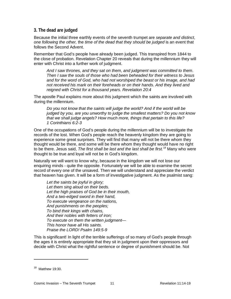#### <span id="page-11-0"></span>**3. The dead are judged**

Because the initial three earthly events of the seventh trumpet are *separate and distinct, one following the other,* the *time of the dead that they should be judged* is an event that follows the Second Advent.

Remember that God's people have already been judged. This transpired from 1844 to the close of probation. Revelation Chapter 20 reveals that during the millennium they will enter with Christ into a further work of judgment.

*And I saw thrones, and they sat on them, and judgment was committed to them. Then I saw the souls of those who had been beheaded for their witness to Jesus and for the word of God, who had not worshiped the beast or his image, and had not received his mark on their foreheads or on their hands. And they lived and reigned with Christ for a thousand years. Revelation 20:4*

The apostle Paul explains more about this judgment which the saints are involved with during the millennium.

*Do you not know that the saints will judge the world? And if the world will be judged by you, are you unworthy to judge the smallest matters? Do you not know that we shall judge angels? How much more, things that pertain to this life? 1 Corinthians 6:2-3*

One of the occupations of God's people during the millennium will be to investigate the records of the lost. When God's people reach the heavenly kingdom they are going to experience some great surprises. They will find that many will not be there whom they thought would be there, and some will be there whom they thought would have no right to be there. Jesus said, *The first shall be last and the last shall be first.*[18](#page-11-1) Many who were thought to be true and loyal will not be in God's kingdom.

Naturally we will want to know why, because in the kingdom we will not lose our enquiring minds - quite the opposite. Fortunately we will be able to examine the secret record of every one of the unsaved. Then we will understand and appreciate the verdict that heaven has given. It will be a form of investigative judgment. As the psalmist sang:

*Let the saints be joyful in glory; Let them sing aloud on their beds. Let the high praises of God be in their mouth, And a two-edged sword in their hand, To execute vengeance on the nations, And punishments on the peoples; To bind their kings with chains, And their nobles with fetters of iron; To execute on them the written judgment— This honor have all His saints. Praise the LORD! Psalm 149:5-9*

This is significant! In light of the terrible sufferings of so many of God's people through the ages it is entirely appropriate that they sit in judgment upon their oppressors and decide with Christ what the rightful sentence or degree of punishment should be. Not

<span id="page-11-1"></span><sup>&</sup>lt;sup>18</sup> Matthew 19:30.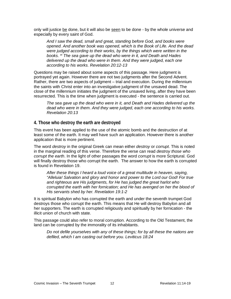only will justice be done, but it will also be seen to be done - by the whole universe and especially by every saint of God.

*And I saw the dead, small and great, standing before God, and books were opened. And another book was opened, which is the Book of Life. And the dead were judged according to their works, by the things which were written in the books. <sup>13</sup> The sea gave up the dead who were in it, and Death and Hades delivered up the dead who were in them. And they were judged, each one according to his works. Revelation 20:12-13*

Questions may be raised about some aspects of this passage. Here judgment is portrayed yet again. However there are not two judgments after the Second Advent. Rather, there are two aspects of judgment – trial and execution. During the millennium the saints with Christ enter into an investigative judgment of the unsaved dead. The close of the millennium initiates the judgment of the unsaved living, after they have been resurrected. This is the time when judgment is executed - the sentence is carried out.

*The sea gave up the dead who were in it, and Death and Hades delivered up the dead who were in them. And they were judged, each one according to his works. Revelation 20:13*

#### <span id="page-12-0"></span>**4. Those who destroy the earth are destroyed**

This event has been applied to the use of the atomic bomb and the destruction of at least some of the earth. It may well have such an application. However there is another application that is more pertinent.

The word *destroy* in the original Greek can mean either *destroy* or *corrupt*. This is noted in the marginal reading of this verse. Therefore the verse can read *destroy those who corrupt the earth*. In the light of other passages the word *corrupt* is more Scriptural. God will finally destroy those who corrupt the earth. The answer to how the earth is corrupted is found in Revelation 19.

*After these things I heard a loud voice of a great multitude in heaven, saying, "Alleluia! Salvation and glory and honor and power to the Lord our God! For true and righteous are His judgments, for He has judged the great harlot who corrupted the earth with her fornication; and He has avenged on her the blood of His servants shed by her. Revelation 19:1-2*

It is spiritual Babylon who has corrupted the earth and under the seventh trumpet God destroys those who corrupt the earth. This means that He will destroy Babylon and all her supporters. The earth is corrupted religiously and spiritually by her fornication - the illicit union of church with state.

This passage could also refer to moral corruption. According to the Old Testament, the land can be corrupted by the immorality of its inhabitants.

*Do not defile yourselves with any of these things; for by all these the nations are defiled, which I am casting out before you. Leviticus 18:24*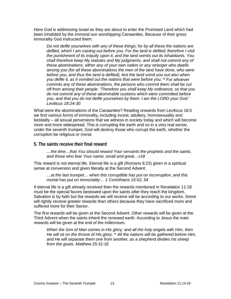Here God is addressing Israel as they are about to enter the Promised Land which had been inhabited by the immoral sun worshipping Canaanites. Because of their gross immorality God instructed them:

*Do not defile yourselves with any of these things; for by all these the nations are defiled, which I am casting out before you. For the land is defiled; therefore I visit the punishment of its iniquity upon it, and the land vomits out its inhabitants. You shall therefore keep My statutes and My judgments, and shall not commit any of these abominations, either any of your own nation or any stranger who dwells among you (for all these abominations the men of the land have done, who were before you, and thus the land is defiled), lest the land vomit you out also when you defile it, as it vomited out the nations that were before you. <sup>29</sup> For whoever commits any of these abominations, the persons who commit them shall be cut off from among their people. 'Therefore you shall keep My ordinance, so that you do not commit any of these abominable customs which were committed before you, and that you do not defile yourselves by them: I am the LORD your God.' Leviticus 18:24-30*

What were the abominations of the Canaanites? Reading onwards from Leviticus 18:5 we find various forms of immorality, including incest, adultery, homosexuality and bestiality – all sexual perversions that we witness in society today and which will become more and more widespread. This is corrupting the earth and so in a very real sense, under the seventh trumpet, God will destroy those who corrupt the earth, whether the corruption be religious or moral.

#### <span id="page-13-0"></span>**5. The saints receive their final reward**

*…the time…that You should reward Your servants the prophets and the saints, and those who fear Your name, small and great…v18* 

This reward is not eternal life. Eternal life is a gift (Romans 6:23) given in a spiritual sense at conversion and given literally at the Second Advent:

*…at the last trumpet… when this corruptible has put on incorruption, and this mortal has put on immortality… 1 Corinthians 15:52, 54*

If eternal life is a gift already received then the rewards mentioned in Revelation 11:18 must be the special favors bestowed upon the saints after they reach the kingdom. Salvation is by faith but the rewards we will receive will be according to our works. Some will rightly receive greater rewards than others because they have sacrificed more and suffered more for their Savior.

The first rewards will be given at the Second Advent. Other rewards will be given at the Third Advent when the saints inherit the renewed earth. According to Jesus the main rewards will be given at the end of the millennium.

*When the Son of Man comes in His glory, and all the holy angels with Him, then He will sit on the throne of His glory. <sup>32</sup> All the nations will be gathered before Him, and He will separate them one from another, as a shepherd divides his sheep from the goats. Matthew 25:31-32*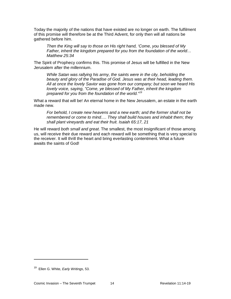Today the majority of the nations that have existed are no longer on earth. The fulfilment of this promise will therefore be at the Third Advent, for only then will all nations be gathered before him.

*Then the King will say to those on His right hand, 'Come, you blessed of My Father, inherit the kingdom prepared for you from the foundation of the world… Matthew 25:34*

The Spirit of Prophecy confirms this. This promise of Jesus will be fulfilled in the New Jerusalem after the millennium.

*While Satan was rallying his army, the saints were in the city, beholding the beauty and glory of the Paradise of God. Jesus was at their head, leading them. All at once the lovely Savior was gone from our company; but soon we heard His lovely voice, saying, "Come, ye blessed of My Father, inherit the kingdom prepared for you from the foundation of the world."[19](#page-14-0)*

What a reward that will be! An eternal home in the New Jerusalem, an estate in the earth made new.

*For behold, I create new heavens and a new earth; and the former shall not be remembered or come to mind…. They shall build houses and inhabit them; they shall plant vineyards and eat their fruit. Isaiah 65:17, 21*

He will reward *both small and great*. The smallest, the most insignificant of those among us, will receive their due reward and each reward will be something that is very special to the receiver. It will thrill the heart and bring everlasting contentment. What a future awaits the saints of God!

<span id="page-14-0"></span><sup>19</sup> Ellen G. White, *Early Writings*, 53.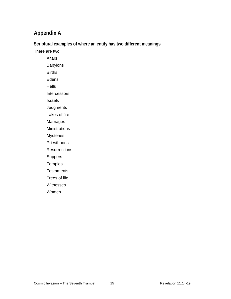# <span id="page-15-0"></span>**Appendix A**

<span id="page-15-1"></span>**Scriptural examples of where an entity has two different meanings**

There are two:

**Altars** Babylons Births Edens **Hells** Intercessors Israels **Judgments** 

Lakes of fire

Marriages

**Ministrations** 

Mysteries

**Priesthoods** 

**Resurrections** 

Suppers

**Temples** 

**Testaments** 

Trees of life

Witnesses

Women